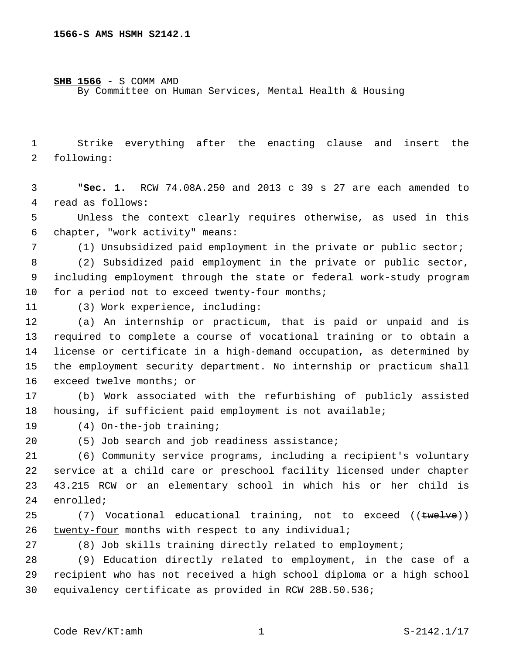**SHB 1566** - S COMM AMD

By Committee on Human Services, Mental Health & Housing

1 Strike everything after the enacting clause and insert the 2 following:

3 "**Sec. 1.** RCW 74.08A.250 and 2013 c 39 s 27 are each amended to 4 read as follows:

5 Unless the context clearly requires otherwise, as used in this chapter, "work activity" means:6

7 (1) Unsubsidized paid employment in the private or public sector;

8 (2) Subsidized paid employment in the private or public sector, 9 including employment through the state or federal work-study program  $10$  for a period not to exceed twenty-four months;

(3) Work experience, including:11

 (a) An internship or practicum, that is paid or unpaid and is required to complete a course of vocational training or to obtain a license or certificate in a high-demand occupation, as determined by the employment security department. No internship or practicum shall 16 exceed twelve months; or

17 (b) Work associated with the refurbishing of publicly assisted 18 housing, if sufficient paid employment is not available;

19 (4) On-the-job training;

20 (5) Job search and job readiness assistance;

 (6) Community service programs, including a recipient's voluntary service at a child care or preschool facility licensed under chapter 43.215 RCW or an elementary school in which his or her child is 24 enrolled;

25 (7) Vocational educational training, not to exceed ((twelve)) 26 twenty-four months with respect to any individual;

27 (8) Job skills training directly related to employment;

28 (9) Education directly related to employment, in the case of a 29 recipient who has not received a high school diploma or a high school 30 equivalency certificate as provided in RCW 28B.50.536;